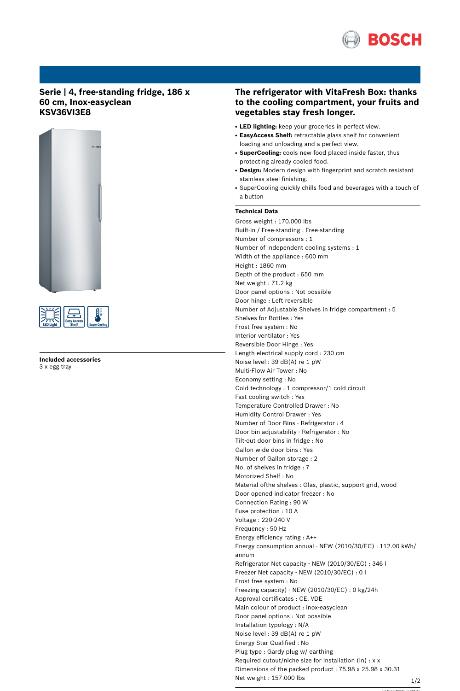

## **Serie | 4, free-standing fridge, 186 x 60 cm, Inox-easyclean KSV36VI3E8**





**Included accessories** 3 x egg tray

## **The refrigerator with VitaFresh Box: thanks to the cooling compartment, your fruits and vegetables stay fresh longer.**

- **LED lighting:** keep your groceries in perfect view.
- **EasyAccess Shelf:** retractable glass shelf for convenient loading and unloading and a perfect view.
- **SuperCooling:** cools new food placed inside faster, thus protecting already cooled food.
- Design: Modern design with fingerprint and scratch resistant stainless steel finishing.
- SuperCooling quickly chills food and beverages with a touch of a button

## **Technical Data**

Gross weight : 170.000 lbs Built-in / Free-standing : Free-standing Number of compressors : 1 Number of independent cooling systems : 1 Width of the appliance : 600 mm Height : 1860 mm Depth of the product : 650 mm Net weight : 71.2 kg Door panel options : Not possible Door hinge : Left reversible Number of Adjustable Shelves in fridge compartment : 5 Shelves for Bottles : Yes Frost free system : No Interior ventilator : Yes Reversible Door Hinge : Yes Length electrical supply cord : 230 cm Noise level : 39 dB(A) re 1 pW Multi-Flow Air Tower : No Economy setting : No Cold technology : 1 compressor/1 cold circuit Fast cooling switch : Yes Temperature Controlled Drawer : No Humidity Control Drawer : Yes Number of Door Bins - Refrigerator : 4 Door bin adjustability - Refrigerator : No Tilt-out door bins in fridge : No Gallon wide door bins : Yes Number of Gallon storage : 2 No. of shelves in fridge : 7 Motorized Shelf : No Material ofthe shelves : Glas, plastic, support grid, wood Door opened indicator freezer : No Connection Rating : 90 W Fuse protection : 10 A Voltage : 220-240 V Frequency : 50 Hz Energy efficiency rating : A++ Energy consumption annual - NEW (2010/30/EC) : 112.00 kWh/ annum Refrigerator Net capacity - NEW (2010/30/EC) : 346 l Freezer Net capacity - NEW (2010/30/EC) : 0 l Frost free system : No Freezing capacity) - NEW (2010/30/EC) : 0 kg/24h Approval certificates : CE, VDE Main colour of product : Inox-easyclean Door panel options : Not possible Installation typology : N/A Noise level : 39 dB(A) re 1 pW Energy Star Qualified : No Plug type : Gardy plug w/ earthing Required cutout/niche size for installation (in) : x x Dimensions of the packed product : 75.98 x 25.98 x 30.31 Net weight : 157.000 lbs

'!2E20AF-bdgfee!